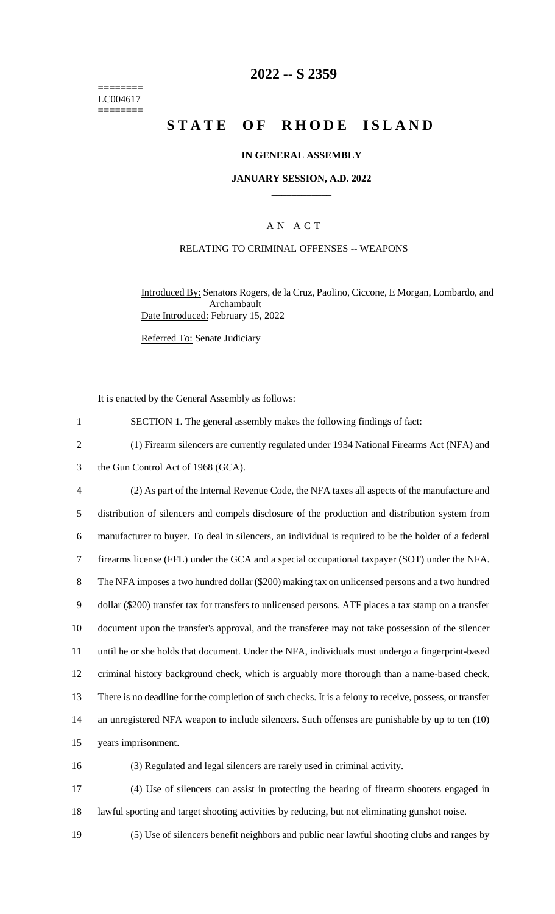======== LC004617 ========

## **2022 -- S 2359**

# **STATE OF RHODE ISLAND**

#### **IN GENERAL ASSEMBLY**

#### **JANUARY SESSION, A.D. 2022 \_\_\_\_\_\_\_\_\_\_\_\_**

### A N A C T

#### RELATING TO CRIMINAL OFFENSES -- WEAPONS

Introduced By: Senators Rogers, de la Cruz, Paolino, Ciccone, E Morgan, Lombardo, and Archambault Date Introduced: February 15, 2022

Referred To: Senate Judiciary

It is enacted by the General Assembly as follows:

1 SECTION 1. The general assembly makes the following findings of fact:

- 2 (1) Firearm silencers are currently regulated under 1934 National Firearms Act (NFA) and
- 3 the Gun Control Act of 1968 (GCA).
- 4 (2) As part of the Internal Revenue Code, the NFA taxes all aspects of the manufacture and 5 distribution of silencers and compels disclosure of the production and distribution system from 6 manufacturer to buyer. To deal in silencers, an individual is required to be the holder of a federal 7 firearms license (FFL) under the GCA and a special occupational taxpayer (SOT) under the NFA. 8 The NFA imposes a two hundred dollar (\$200) making tax on unlicensed persons and a two hundred 9 dollar (\$200) transfer tax for transfers to unlicensed persons. ATF places a tax stamp on a transfer 10 document upon the transfer's approval, and the transferee may not take possession of the silencer 11 until he or she holds that document. Under the NFA, individuals must undergo a fingerprint-based 12 criminal history background check, which is arguably more thorough than a name-based check. 13 There is no deadline for the completion of such checks. It is a felony to receive, possess, or transfer 14 an unregistered NFA weapon to include silencers. Such offenses are punishable by up to ten (10) 15 years imprisonment. 16 (3) Regulated and legal silencers are rarely used in criminal activity.

17 (4) Use of silencers can assist in protecting the hearing of firearm shooters engaged in 18 lawful sporting and target shooting activities by reducing, but not eliminating gunshot noise.

19 (5) Use of silencers benefit neighbors and public near lawful shooting clubs and ranges by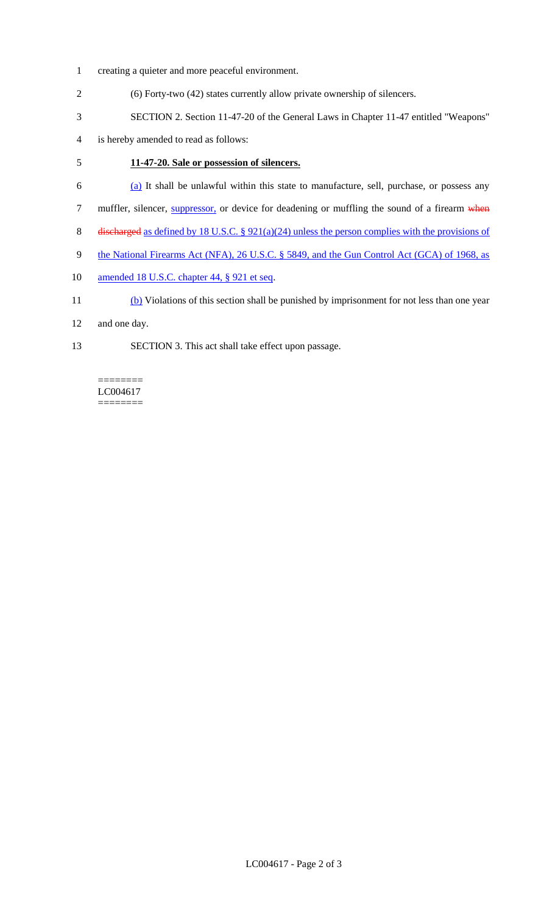- 1 creating a quieter and more peaceful environment.
- 2 (6) Forty-two (42) states currently allow private ownership of silencers.
- 3 SECTION 2. Section 11-47-20 of the General Laws in Chapter 11-47 entitled "Weapons"
- 4 is hereby amended to read as follows:

## 5 **11-47-20. Sale or possession of silencers.**

- 6 (a) It shall be unlawful within this state to manufacture, sell, purchase, or possess any
- 7 muffler, silencer, **suppressor**, or device for deadening or muffling the sound of a firearm when
- 8 discharged as defined by 18 U.S.C. § 921(a)(24) unless the person complies with the provisions of
- 9 the National Firearms Act (NFA), 26 U.S.C. § 5849, and the Gun Control Act (GCA) of 1968, as
- 10 amended 18 U.S.C. chapter 44, § 921 et seq.
- 11 (b) Violations of this section shall be punished by imprisonment for not less than one year
- 12 and one day.
- 13 SECTION 3. This act shall take effect upon passage.

LC004617 ========

 $=$